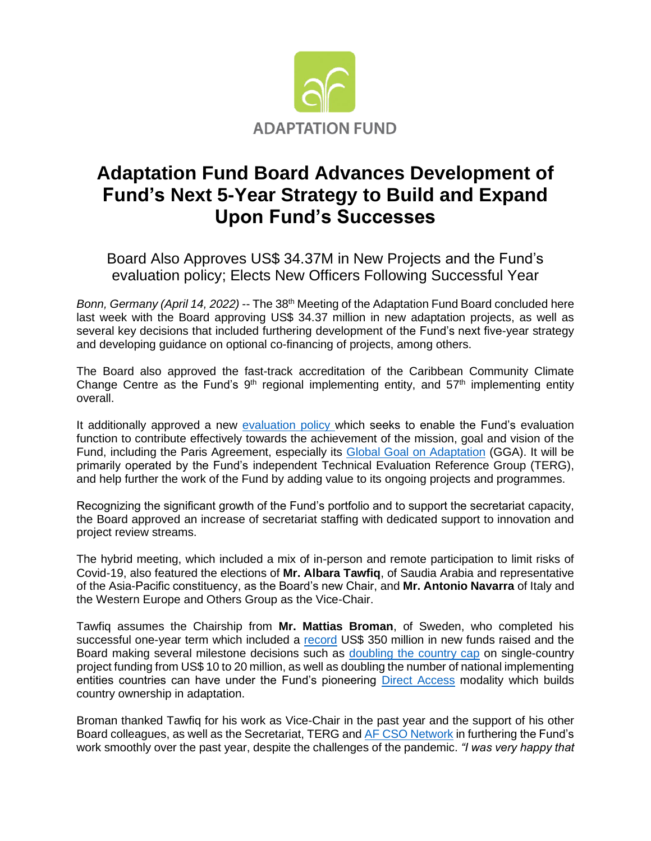

## **Adaptation Fund Board Advances Development of Fund's Next 5-Year Strategy to Build and Expand Upon Fund's Successes**

Board Also Approves US\$ 34.37M in New Projects and the Fund's evaluation policy; Elects New Officers Following Successful Year

*Bonn, Germany (April 14, 2022)* -- The 38<sup>th</sup> Meeting of the Adaptation Fund Board concluded here last week with the Board approving US\$ 34.37 million in new adaptation projects, as well as several key decisions that included furthering development of the Fund's next five-year strategy and developing guidance on optional co-financing of projects, among others.

The Board also approved the fast-track accreditation of the Caribbean Community Climate Change Centre as the Fund's  $9<sup>th</sup>$  regional implementing entity, and  $57<sup>th</sup>$  implementing entity overall.

It additionally approved a new [evaluation policy](https://www.adaptation-fund.org/document/draft-evaluation-policy-of-the-adaptation-fund/) which seeks to enable the Fund's evaluation function to contribute effectively towards the achievement of the mission, goal and vision of the Fund, including the Paris Agreement, especially its [Global Goal on Adaptation](https://unfccc.int/topics/adaptation-and-resilience/the-big-picture/new-elements-and-dimensions-of-adaptation-under-the-paris-agreement-article-7) (GGA). It will be primarily operated by the Fund's independent Technical Evaluation Reference Group (TERG), and help further the work of the Fund by adding value to its ongoing projects and programmes.

Recognizing the significant growth of the Fund's portfolio and to support the secretariat capacity, the Board approved an increase of secretariat staffing with dedicated support to innovation and project review streams.

The hybrid meeting, which included a mix of in-person and remote participation to limit risks of Covid-19, also featured the elections of **Mr. Albara Tawfiq**, of Saudia Arabia and representative of the Asia-Pacific constituency, as the Board's new Chair, and **Mr. Antonio Navarra** of Italy and the Western Europe and Others Group as the Vice-Chair.

Tawfiq assumes the Chairship from **Mr. Mattias Broman**, of Sweden, who completed his successful one-year term which included a [record](https://www.adaptation-fund.org/adaptation-fund-raises-record-us-356-million-in-new-pledges-at-cop26-for-its-concrete-actions-to-most-vulnerable/) US\$ 350 million in new funds raised and the Board making several milestone decisions such as [doubling the country cap](https://www.adaptation-fund.org/adaptation-fund-doubles-the-amount-of-funding-countries-can-access-enhancing-access-to-climate-finance-among-most-vulnerable/) on single-country project funding from US\$ 10 to 20 million, as well as doubling the number of national implementing entities countries can have under the Fund's pioneering [Direct Access](https://www.adaptation-fund.org/about/direct-access/) modality which builds country ownership in adaptation.

Broman thanked Tawfiq for his work as Vice-Chair in the past year and the support of his other Board colleagues, as well as the Secretariat, TERG and [AF CSO Network](https://af-network.org/assessments-af-projects) in furthering the Fund's work smoothly over the past year, despite the challenges of the pandemic. *"I was very happy that*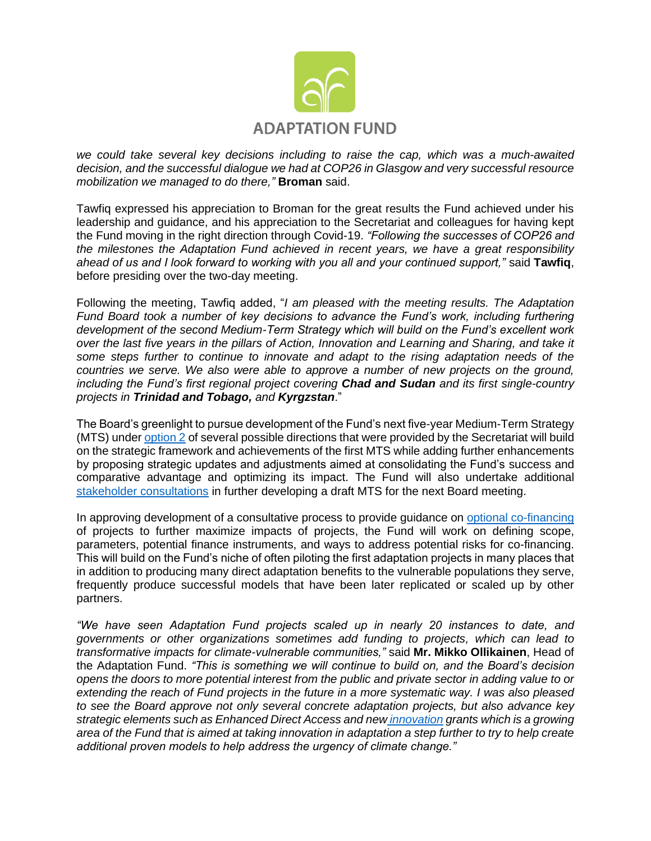

*we could take several key decisions including to raise the cap, which was a much-awaited decision, and the successful dialogue we had at COP26 in Glasgow and very successful resource mobilization we managed to do there,"* **Broman** said.

Tawfiq expressed his appreciation to Broman for the great results the Fund achieved under his leadership and guidance, and his appreciation to the Secretariat and colleagues for having kept the Fund moving in the right direction through Covid-19. *"Following the successes of COP26 and the milestones the Adaptation Fund achieved in recent years, we have a great responsibility ahead of us and I look forward to working with you all and your continued support,"* said **Tawfiq**, before presiding over the two-day meeting.

Following the meeting, Tawfiq added, "*I am pleased with the meeting results. The Adaptation Fund Board took a number of key decisions to advance the Fund's work, including furthering development of the second Medium-Term Strategy which will build on the Fund's excellent work over the last five years in the pillars of Action, Innovation and Learning and Sharing, and take it some steps further to continue to innovate and adapt to the rising adaptation needs of the countries we serve. We also were able to approve a number of new projects on the ground, including the Fund's first regional project covering Chad and Sudan and its first single-country projects in Trinidad and Tobago, and Kyrgzstan*."

The Board's greenlight to pursue development of the Fund's next five-year Medium-Term Strategy (MTS) under [option 2](https://www.adaptation-fund.org/document/elements-and-options-for-the-funds-medium-term-strategy-2023-2027/) of several possible directions that were provided by the Secretariat will build on the strategic framework and achievements of the first MTS while adding further enhancements by proposing strategic updates and adjustments aimed at consolidating the Fund's success and comparative advantage and optimizing its impact. The Fund will also undertake additional [stakeholder consultations](https://www.adaptation-fund.org/adaptation-fund-invites-broad-input-from-stakeholders-as-it-begins-development-of-next-five-year-strategy/) in further developing a draft MTS for the next Board meeting.

In approving development of a consultative process to provide guidance on [optional co-financing](https://www.adaptation-fund.org/document/full-cost-of-adaptation-reasoning-and-co-financing/) of projects to further maximize impacts of projects, the Fund will work on defining scope, parameters, potential finance instruments, and ways to address potential risks for co-financing. This will build on the Fund's niche of often piloting the first adaptation projects in many places that in addition to producing many direct adaptation benefits to the vulnerable populations they serve, frequently produce successful models that have been later replicated or scaled up by other partners.

*"We have seen Adaptation Fund projects scaled up in nearly 20 instances to date, and governments or other organizations sometimes add funding to projects, which can lead to transformative impacts for climate-vulnerable communities,"* said **Mr. Mikko Ollikainen**, Head of the Adaptation Fund. *"This is something we will continue to build on, and the Board's decision opens the doors to more potential interest from the public and private sector in adding value to or extending the reach of Fund projects in the future in a more systematic way. I was also pleased to see the Board approve not only several concrete adaptation projects, but also advance key strategic elements such as Enhanced Direct Access and new [innovation](https://www.adaptation-fund.org/apply-funding/innovation-grants/) grants which is a growing area of the Fund that is aimed at taking innovation in adaptation a step further to try to help create additional proven models to help address the urgency of climate change."*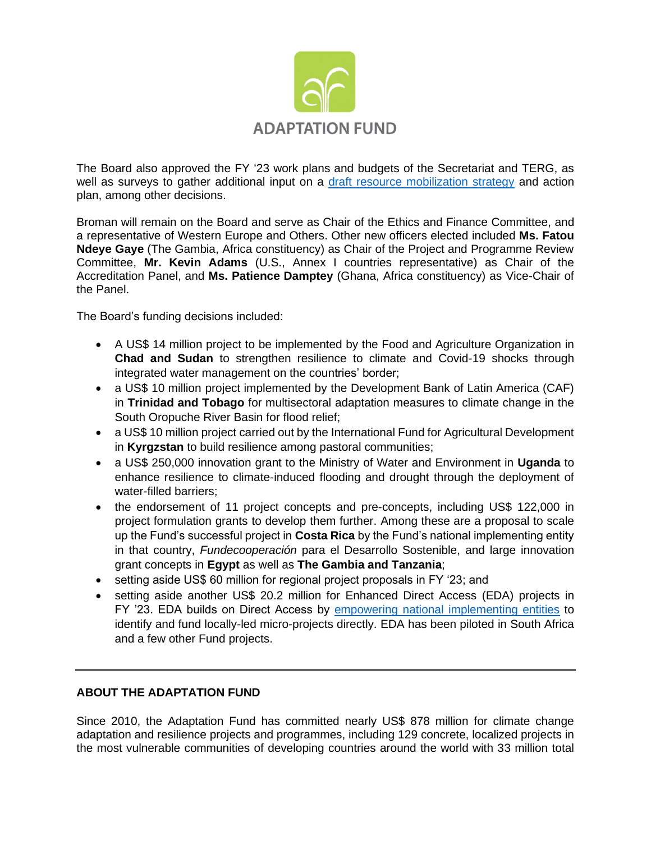

The Board also approved the FY '23 work plans and budgets of the Secretariat and TERG, as well as surveys to gather additional input on a [draft resource mobilization strategy](https://www.adaptation-fund.org/document/draft-resource-mobilization-strategy-2022-2025/) and action plan, among other decisions.

Broman will remain on the Board and serve as Chair of the Ethics and Finance Committee, and a representative of Western Europe and Others. Other new officers elected included **Ms. Fatou Ndeye Gaye** (The Gambia, Africa constituency) as Chair of the Project and Programme Review Committee, **Mr. Kevin Adams** (U.S., Annex I countries representative) as Chair of the Accreditation Panel, and **Ms. Patience Damptey** (Ghana, Africa constituency) as Vice-Chair of the Panel.

The Board's funding decisions included:

- A US\$ 14 million project to be implemented by the Food and Agriculture Organization in **Chad and Sudan** to strengthen resilience to climate and Covid-19 shocks through integrated water management on the countries' border;
- a US\$ 10 million project implemented by the Development Bank of Latin America (CAF) in **Trinidad and Tobago** for multisectoral adaptation measures to climate change in the South Oropuche River Basin for flood relief;
- a US\$ 10 million project carried out by the International Fund for Agricultural Development in **Kyrgzstan** to build resilience among pastoral communities;
- a US\$ 250,000 innovation grant to the Ministry of Water and Environment in **Uganda** to enhance resilience to climate-induced flooding and drought through the deployment of water-filled barriers;
- the endorsement of 11 project concepts and pre-concepts, including US\$ 122,000 in project formulation grants to develop them further. Among these are a proposal to scale up the Fund's successful project in **Costa Rica** by the Fund's national implementing entity in that country, *Fundecooperación* para el Desarrollo Sostenible, and large innovation grant concepts in **Egypt** as well as **The Gambia and Tanzania**;
- setting aside US\$ 60 million for regional project proposals in FY '23; and
- setting aside another US\$ 20.2 million for Enhanced Direct Access (EDA) projects in FY '23. EDA builds on Direct Access by [empowering national implementing entities](https://www.adaptation-fund.org/wp-content/uploads/2017/05/AdaptationStory-SouthAfrica-WEB.pdf) to identify and fund locally-led micro-projects directly. EDA has been piloted in South Africa and a few other Fund projects.

## **ABOUT THE ADAPTATION FUND**

Since 2010, the Adaptation Fund has committed nearly US\$ 878 million for climate change adaptation and resilience projects and programmes, including 129 concrete, localized projects in the most vulnerable communities of developing countries around the world with 33 million total